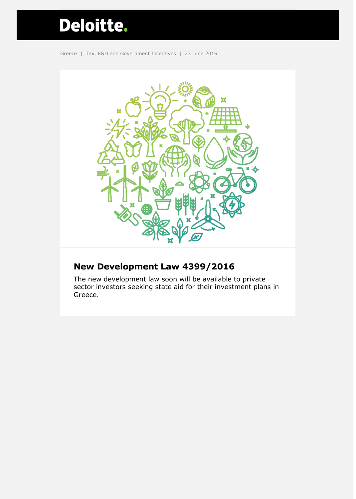# Deloitte.





# **New Development Law 4399/2016**

The new development law soon will be available to private sector investors seeking state aid for their investment plans in Greece.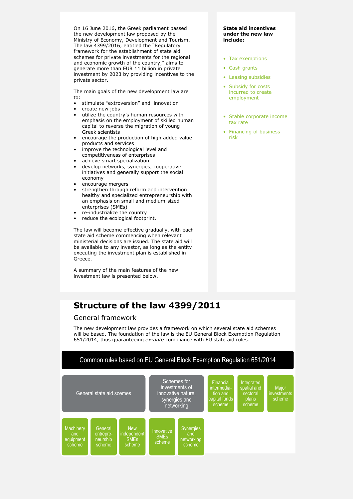On 16 June 2016, the Greek parliament passed the new development law proposed by the Ministry of Economy, Development and Tourism. The law 4399/2016, entitled the "Regulatory framework for the establishment of state aid schemes for private investments for the regional and economic growth of the country," aims to generate more than EUR 11 billion in private investment by 2023 by providing incentives to the private sector.

The main goals of the new development law are to:

- stimulate "extroversion" and innovation
- create new jobs
- utilize the country's human resources with emphasis on the employment of skilled human capital to reverse the migration of young Greek scientists
- encourage the production of high added value products and services
- improve the technological level and competitiveness of enterprises
- achieve smart specialization
- develop networks, synergies, cooperative initiatives and generally support the social economy
- encourage mergers
- strengthen through reform and intervention healthy and specialized entrepreneurship with an emphasis on small and medium-sized enterprises (SMEs)
- re-industrialize the country
- reduce the ecological footprint.

The law will become effective gradually, with each state aid scheme commencing when relevant ministerial decisions are issued. The state aid will be available to any investor, as long as the entity executing the investment plan is established in Greece.

A summary of the main features of the new investment law is presented below.

### **Structure of the law 4399/2011**

#### General framework

The new development law provides a framework on which several state aid schemes will be based. The foundation of the law is the EU General Block Exemption Regulation 651/2014, thus guaranteeing *ex-ante* compliance with EU state aid rules.



#### **State aid incentives under the new law include:**

- Tax exemptions
- Cash grants
- Leasing subsidies
- Subsidy for costs incurred to create employment
- Stable corporate income tax rate
- Financing of business risk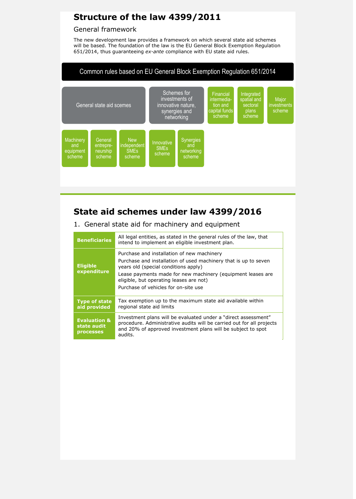### **Structure of the law 4399/2011**

#### General framework

The new development law provides a framework on which several state aid schemes will be based. The foundation of the law is the EU General Block Exemption Regulation 651/2014, thus guaranteeing *ex-ante* compliance with EU state aid rules.



### **State aid schemes under law 4399/2016**

### 1. General state aid for machinery and equipment

| <b>Beneficiaries</b>                                       | All legal entities, as stated in the general rules of the law, that<br>intend to implement an eligible investment plan.                                                                                                                                                                                 |  |
|------------------------------------------------------------|---------------------------------------------------------------------------------------------------------------------------------------------------------------------------------------------------------------------------------------------------------------------------------------------------------|--|
| <b>Eligible</b><br>expenditure                             | Purchase and installation of new machinery<br>Purchase and installation of used machinery that is up to seven<br>years old (special conditions apply)<br>Lease payments made for new machinery (equipment leases are<br>eligible, but operating leases are not)<br>Purchase of vehicles for on-site use |  |
| <b>Type of state</b><br>aid provided                       | Tax exemption up to the maximum state aid available within<br>regional state aid limits                                                                                                                                                                                                                 |  |
| <b>Evaluation &amp;</b><br>state audit<br><b>processes</b> | Investment plans will be evaluated under a "direct assessment"<br>procedure. Administrative audits will be carried out for all projects<br>and 20% of approved investment plans will be subject to spot<br>audits.                                                                                      |  |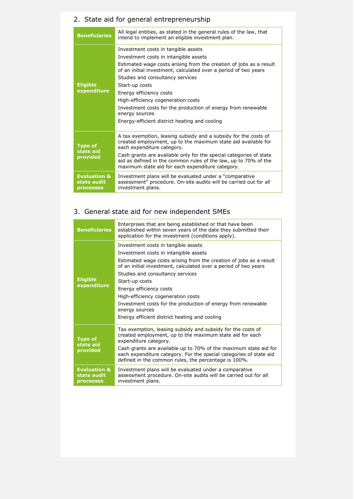# 2. State aid for general entrepreneurship

| <b>Beneficiaries</b>                                       | All legal entities, as stated in the general rules of the law, that<br>intend to implement an eligible investment plan.                                                                                                                                                                                                                                                                                                                                                         |
|------------------------------------------------------------|---------------------------------------------------------------------------------------------------------------------------------------------------------------------------------------------------------------------------------------------------------------------------------------------------------------------------------------------------------------------------------------------------------------------------------------------------------------------------------|
| <b>Eligible</b><br>expenditure                             | Investment costs in tangible assets<br>Investment costs in intangible assets<br>Estimated wage costs arising from the creation of jobs as a result<br>of an initial investment, calculated over a period of two years<br>Studies and consultancy services<br>Start-up costs<br>Energy efficiency costs<br>High-efficiency cogeneration costs<br>Investment costs for the production of energy from renewable<br>energy sources<br>Energy-efficient district heating and cooling |
| <b>Type of</b><br>state aid<br>provided                    | A tax exemption, leasing subsidy and a subsidy for the costs of<br>created employment, up to the maximum state aid available for<br>each expenditure category.<br>Cash grants are available only for the special categories of state<br>aid as defined in the common rules of the law, up to 70% of the<br>maximum state aid for each expenditure category.                                                                                                                     |
| <b>Evaluation &amp;</b><br>state audit<br><b>processes</b> | Investment plans will be evaluated under a "comparative"<br>assessment" procedure. On-site audits will be carried out for all<br>investment plans.                                                                                                                                                                                                                                                                                                                              |

# 3. General state aid for new independent SMEs

| <b>Beneficiaries</b>                                       | Enterprises that are being established or that have been<br>established within seven years of the date they submitted their<br>application for the investment (conditions apply).                                                                                                                                                                                                                                                                                               |  |
|------------------------------------------------------------|---------------------------------------------------------------------------------------------------------------------------------------------------------------------------------------------------------------------------------------------------------------------------------------------------------------------------------------------------------------------------------------------------------------------------------------------------------------------------------|--|
| <b>Eligible</b><br>expenditure                             | Investment costs in tangible assets<br>Investment costs in intangible assets<br>Estimated wage costs arising from the creation of jobs as a result<br>of an initial investment, calculated over a period of two years<br>Studies and consultancy services<br>Start-up costs<br>Energy efficiency costs<br>High-efficiency cogeneration costs<br>Investment costs for the production of energy from renewable<br>energy sources<br>Energy efficient district heating and cooling |  |
| <b>Type of</b><br>state aid<br>provided                    | Tax exemption, leasing subsidy and subsidy for the costs of<br>created employment, up to the maximum state aid for each<br>expenditure category.<br>Cash grants are available up to 70% of the maximum state aid for<br>each expenditure category. For the special categories of state aid<br>defined in the common rules, the percentage is 100%.                                                                                                                              |  |
| <b>Evaluation &amp;</b><br>state audit<br><b>processes</b> | Investment plans will be evaluated under a comparative<br>assessment procedure. On-site audits will be carried out for all<br>investment plans.                                                                                                                                                                                                                                                                                                                                 |  |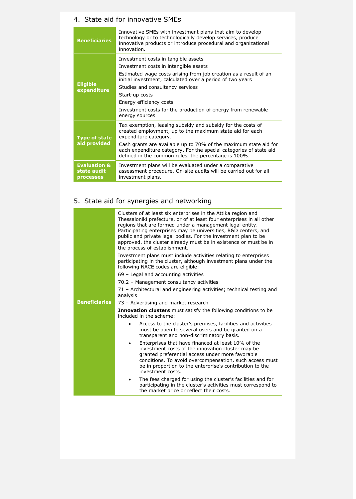### 4. State aid for innovative SMEs

| <b>Beneficiaries</b>                                       | Innovative SMEs with investment plans that aim to develop<br>technology or to technologically develop services, produce<br>innovative products or introduce procedural and organizational<br>innovation.                                                                                                                                                                         |  |
|------------------------------------------------------------|----------------------------------------------------------------------------------------------------------------------------------------------------------------------------------------------------------------------------------------------------------------------------------------------------------------------------------------------------------------------------------|--|
| <b>Eligible</b><br>expenditure                             | Investment costs in tangible assets<br>Investment costs in intangible assets<br>Estimated wage costs arising from job creation as a result of an<br>initial investment, calculated over a period of two years<br>Studies and consultancy services<br>Start-up costs<br>Energy efficiency costs<br>Investment costs for the production of energy from renewable<br>energy sources |  |
| <b>Type of state</b><br>aid provided                       | Tax exemption, leasing subsidy and subsidy for the costs of<br>created employment, up to the maximum state aid for each<br>expenditure category.<br>Cash grants are available up to 70% of the maximum state aid for<br>each expenditure category. For the special categories of state aid<br>defined in the common rules, the percentage is 100%.                               |  |
| <b>Evaluation &amp;</b><br>state audit<br><b>processes</b> | Investment plans will be evaluated under a comparative<br>assessment procedure. On-site audits will be carried out for all<br>investment plans.                                                                                                                                                                                                                                  |  |

# 5. State aid for synergies and networking

|                      | Clusters of at least six enterprises in the Attika region and<br>Thessaloniki prefecture, or of at least four enterprises in all other<br>regions that are formed under a management legal entity.<br>Participating enterprises may be universities, R&D centers, and<br>public and private legal bodies. For the investment plan to be<br>approved, the cluster already must be in existence or must be in<br>the process of establishment. |
|----------------------|----------------------------------------------------------------------------------------------------------------------------------------------------------------------------------------------------------------------------------------------------------------------------------------------------------------------------------------------------------------------------------------------------------------------------------------------|
|                      | Investment plans must include activities relating to enterprises<br>participating in the cluster, although investment plans under the<br>following NACE codes are eligible:                                                                                                                                                                                                                                                                  |
|                      | 69 - Legal and accounting activities                                                                                                                                                                                                                                                                                                                                                                                                         |
|                      | 70.2 - Management consultancy activities                                                                                                                                                                                                                                                                                                                                                                                                     |
|                      | 71 – Architectural and engineering activities; technical testing and<br>analysis                                                                                                                                                                                                                                                                                                                                                             |
| <b>Beneficiaries</b> | 73 - Advertising and market research                                                                                                                                                                                                                                                                                                                                                                                                         |
|                      | <b>Innovation clusters</b> must satisfy the following conditions to be<br>included in the scheme:                                                                                                                                                                                                                                                                                                                                            |
|                      | Access to the cluster's premises, facilities and activities<br>must be open to several users and be granted on a<br>transparent and non-discriminatory basis.                                                                                                                                                                                                                                                                                |
|                      | Enterprises that have financed at least 10% of the<br>investment costs of the innovation cluster may be<br>granted preferential access under more favorable<br>conditions. To avoid overcompensation, such access must<br>be in proportion to the enterprise's contribution to the<br>investment costs.                                                                                                                                      |
|                      | The fees charged for using the cluster's facilities and for<br>٠<br>participating in the cluster's activities must correspond to<br>the market price or reflect their costs.                                                                                                                                                                                                                                                                 |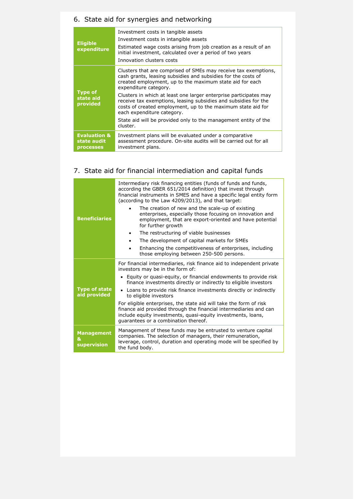# 6. State aid for synergies and networking

| <b>Eligible</b><br>expenditure                             | Investment costs in tangible assets<br>Investment costs in intangible assets<br>Estimated wage costs arising from job creation as a result of an<br>initial investment, calculated over a period of two years<br>Innovation clusters costs |
|------------------------------------------------------------|--------------------------------------------------------------------------------------------------------------------------------------------------------------------------------------------------------------------------------------------|
| <b>Type of</b><br>state aid<br>provided                    | Clusters that are comprised of SMEs may receive tax exemptions,<br>cash grants, leasing subsidies and subsidies for the costs of<br>created employment, up to the maximum state aid for each<br>expenditure category.                      |
|                                                            | Clusters in which at least one larger enterprise participates may<br>receive tax exemptions, leasing subsidies and subsidies for the<br>costs of created employment, up to the maximum state aid for<br>each expenditure category.         |
|                                                            | State aid will be provided only to the management entity of the<br>cluster.                                                                                                                                                                |
| <b>Evaluation &amp;</b><br>state audit<br><b>processes</b> | Investment plans will be evaluated under a comparative<br>assessment procedure. On-site audits will be carried out for all<br>investment plans.                                                                                            |

### 7. State aid for financial intermediation and capital funds

| <b>Beneficiaries</b>                  | Intermediary risk financing entities (funds of funds and funds,<br>according the GBER 651/2014 definition) that invest through<br>financial instruments in SMES and have a specific legal entity form<br>(according to the Law 4209/2013), and that target:<br>The creation of new and the scale-up of existing<br>enterprises, especially those focusing on innovation and<br>employment, that are export-oriented and have potential<br>for further growth<br>The restructuring of viable businesses<br>$\bullet$<br>The development of capital markets for SMEs<br>Enhancing the competitiveness of enterprises, including<br>those employing between 250-500 persons. |  |
|---------------------------------------|---------------------------------------------------------------------------------------------------------------------------------------------------------------------------------------------------------------------------------------------------------------------------------------------------------------------------------------------------------------------------------------------------------------------------------------------------------------------------------------------------------------------------------------------------------------------------------------------------------------------------------------------------------------------------|--|
| <b>Type of state</b><br>aid provided  | For financial intermediaries, risk finance aid to independent private<br>investors may be in the form of:<br>• Equity or quasi-equity, or financial endowments to provide risk<br>finance investments directly or indirectly to eligible investors<br>• Loans to provide risk finance investments directly or indirectly<br>to eligible investors<br>For eligible enterprises, the state aid will take the form of risk<br>finance aid provided through the financial intermediaries and can<br>include equity investments, quasi-equity investments, loans,<br>quarantees or a combination thereof.                                                                      |  |
| <b>Management</b><br>&<br>supervision | Management of these funds may be entrusted to venture capital<br>companies. The selection of managers, their remuneration,<br>leverage, control, duration and operating mode will be specified by<br>the fund body.                                                                                                                                                                                                                                                                                                                                                                                                                                                       |  |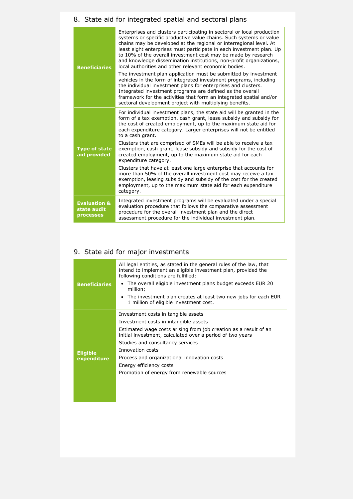| 8. State aid for integrated spatial and sectoral plans |                                                                                                                                                                                                                                                                                                                                                                                                                                                                                                                                                                                                                                                                                                                                                                                                                                                                                                     |
|--------------------------------------------------------|-----------------------------------------------------------------------------------------------------------------------------------------------------------------------------------------------------------------------------------------------------------------------------------------------------------------------------------------------------------------------------------------------------------------------------------------------------------------------------------------------------------------------------------------------------------------------------------------------------------------------------------------------------------------------------------------------------------------------------------------------------------------------------------------------------------------------------------------------------------------------------------------------------|
| <b>Beneficiaries</b>                                   | Enterprises and clusters participating in sectoral or local production<br>systems or specific productive value chains. Such systems or value<br>chains may be developed at the regional or interregional level. At<br>least eight enterprises must participate in each investment plan. Up<br>to 10% of the overall investment cost may be made by research<br>and knowledge dissemination institutions, non-profit organizations,<br>local authorities and other relevant economic bodies.<br>The investment plan application must be submitted by investment<br>vehicles in the form of integrated investment programs, including<br>the individual investment plans for enterprises and clusters.<br>Integrated investment programs are defined as the overall<br>framework for the activities that form an integrated spatial and/or<br>sectoral development project with multiplying benefits. |
| <b>Type of state</b><br>aid provided                   | For individual investment plans, the state aid will be granted in the<br>form of a tax exemption, cash grant, lease subsidy and subsidy for<br>the cost of created employment, up to the maximum state aid for<br>each expenditure category. Larger enterprises will not be entitled<br>to a cash grant.<br>Clusters that are comprised of SMEs will be able to receive a tax<br>exemption, cash grant, lease subsidy and subsidy for the cost of<br>created employment, up to the maximum state aid for each<br>expenditure category.<br>Clusters that have at least one large enterprise that accounts for<br>more than 50% of the overall investment cost may receive a tax<br>exemption, leasing subsidy and subsidy of the cost for the created<br>employment, up to the maximum state aid for each expenditure<br>category.                                                                   |
| <b>Evaluation &amp;</b><br>state audit<br>processes    | Integrated investment programs will be evaluated under a special<br>evaluation procedure that follows the comparative assessment<br>procedure for the overall investment plan and the direct<br>assessment procedure for the individual investment plan.                                                                                                                                                                                                                                                                                                                                                                                                                                                                                                                                                                                                                                            |

# 9. State aid for major investments

| <b>Beneficiaries</b> | All legal entities, as stated in the general rules of the law, that<br>intend to implement an eligible investment plan, provided the<br>following conditions are fulfilled:<br>The overall eligible investment plans budget exceeds EUR 20<br>million;<br>The investment plan creates at least two new jobs for each EUR<br>1 million of eligible investment cost. |
|----------------------|--------------------------------------------------------------------------------------------------------------------------------------------------------------------------------------------------------------------------------------------------------------------------------------------------------------------------------------------------------------------|
|                      | Investment costs in tangible assets<br>Investment costs in intangible assets                                                                                                                                                                                                                                                                                       |
|                      | Estimated wage costs arising from job creation as a result of an<br>initial investment, calculated over a period of two years                                                                                                                                                                                                                                      |
|                      | Studies and consultancy services                                                                                                                                                                                                                                                                                                                                   |
| <b>Eligible</b>      | Innovation costs                                                                                                                                                                                                                                                                                                                                                   |
| expenditure          | Process and organizational innovation costs                                                                                                                                                                                                                                                                                                                        |
|                      | Energy efficiency costs                                                                                                                                                                                                                                                                                                                                            |
|                      | Promotion of energy from renewable sources                                                                                                                                                                                                                                                                                                                         |
|                      |                                                                                                                                                                                                                                                                                                                                                                    |
|                      |                                                                                                                                                                                                                                                                                                                                                                    |
|                      |                                                                                                                                                                                                                                                                                                                                                                    |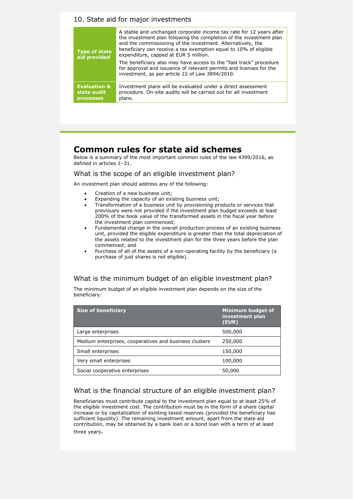### 10. State aid for major investments

| <b>Type of state</b><br>aid provided | A stable and unchanged corporate income tax rate for 12 years after<br>the investment plan following the completion of the investment plan<br>and the commissioning of the investment. Alternatively, the<br>beneficiary can receive a tax exemption equal to 10% of eligible<br>expenditure, capped at EUR 5 million.<br>The beneficiary also may have access to the "fast track" procedure<br>for approval and issuance of relevant permits and licenses for the<br>investment, as per article 22 of Law 3894/2010. |
|--------------------------------------|-----------------------------------------------------------------------------------------------------------------------------------------------------------------------------------------------------------------------------------------------------------------------------------------------------------------------------------------------------------------------------------------------------------------------------------------------------------------------------------------------------------------------|
| <b>Evaluation &amp;</b>              | Investment plans will be evaluated under a direct assessment                                                                                                                                                                                                                                                                                                                                                                                                                                                          |
| state audit                          | procedure. On-site audits will be carried out for all investment                                                                                                                                                                                                                                                                                                                                                                                                                                                      |
| <b>processes</b>                     | plans.                                                                                                                                                                                                                                                                                                                                                                                                                                                                                                                |

### **Common rules for state aid schemes**

Below is a summary of the most important common rules of the law 4399/2016, as defined in articles 1–31.

#### What is the scope of an eligible investment plan?

An investment plan should address any of the following:

- Creation of a new business unit;
- Expanding the capacity of an existing business unit;
- Transformation of a business unit by provisioning products or services that previously were not provided if the investment plan budget exceeds at least 200% of the book value of the transformed assets in the fiscal year before the investment plan commenced;
- Fundamental change in the overall production process of an existing business unit, provided the eligible expenditure is greater than the total depreciation of the assets related to the investment plan for the three years before the plan commenced; and
- Purchase of all of the assets of a non-operating facility by the beneficiary (a purchase of just shares is not eligible).

### What is the minimum budget of an eligible investment plan?

The minimum budget of an eligible investment plan depends on the size of the beneficiary:

| <b>Size of beneficiary</b>                             | <b>Minimum budget of</b><br>investment plan<br>(EUR) |
|--------------------------------------------------------|------------------------------------------------------|
| Large enterprises                                      | 500,000                                              |
| Medium enterprises, cooperatives and business clusters | 250,000                                              |
| Small enterprises                                      | 150,000                                              |
| Very small enterprises                                 | 100,000                                              |
| Social cooperative enterprises                         | 50,000                                               |

### What is the financial structure of an eligible investment plan?

Beneficiaries must contribute capital to the investment plan equal to at least 25% of the eligible investment cost. The contribution must be in the form of a share capital increase or by capitalization of existing taxed reserves (provided the beneficiary has sufficient liquidity). The remaining investment amount, apart from the state aid contribution, may be obtained by a bank loan or a bond loan with a term of at least three years.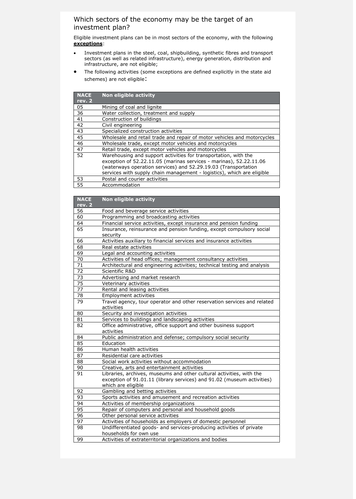### Which sectors of the economy may be the target of an investment plan?

Eligible investment plans can be in most sectors of the economy, with the following **exceptions**:

- Investment plans in the steel, coal, shipbuilding, synthetic fibres and transport sectors (as well as related infrastructure), energy generation, distribution and infrastructure, are not eligible;
- The following activities (some exceptions are defined explicitly in the state aid schemes) are not eligible:

| <b>NACE</b><br>rev. 2 | Non eligible activity                                                                                                                                                                                                                                                             |
|-----------------------|-----------------------------------------------------------------------------------------------------------------------------------------------------------------------------------------------------------------------------------------------------------------------------------|
| 05                    | Mining of coal and lignite                                                                                                                                                                                                                                                        |
| 36                    | Water collection, treatment and supply                                                                                                                                                                                                                                            |
| 41                    | Construction of buildings                                                                                                                                                                                                                                                         |
| 42                    | Civil engineering                                                                                                                                                                                                                                                                 |
| 43                    | Specialized construction activities                                                                                                                                                                                                                                               |
| 45                    | Wholesale and retail trade and repair of motor vehicles and motorcycles                                                                                                                                                                                                           |
| 46                    | Wholesale trade, except motor vehicles and motorcycles                                                                                                                                                                                                                            |
| 47                    | Retail trade, except motor vehicles and motorcycles                                                                                                                                                                                                                               |
| 52                    | Warehousing and support activities for transportation, with the<br>exception of 52.22.11.05 (marinas services - marinas), 52.22.11.06<br>(waterways operation services) and 52.29.19.03 (Transportation<br>services with supply chain management - logistics), which are eligible |
| 53                    | Postal and courier activities                                                                                                                                                                                                                                                     |
| 55                    | Accommodation                                                                                                                                                                                                                                                                     |

| <b>NACE</b> | <b>Non eligible activity</b>                                                          |
|-------------|---------------------------------------------------------------------------------------|
| rev. 2      |                                                                                       |
| 56          | Food and beverage service activities                                                  |
| 60          | Programming and broadcasting activities                                               |
| 64          | Financial service activities, except insurance and pension funding                    |
| 65          | Insurance, reinsurance and pension funding, except compulsory social<br>security      |
| 66          | Activities auxiliary to financial services and insurance activities                   |
| 68          | Real estate activities                                                                |
| 69          | Legal and accounting activities                                                       |
| 70          | Activities of head offices; management consultancy activities                         |
| 71          | Architectural and engineering activities; technical testing and analysis              |
| 72          | Scientific R&D                                                                        |
| 73          | Advertising and market research                                                       |
| 75          | Veterinary activities                                                                 |
| 77          | Rental and leasing activities                                                         |
| 78          | <b>Employment activities</b>                                                          |
| 79          | Travel agency, tour operator and other reservation services and related<br>activities |
| 80          | Security and investigation activities                                                 |
| 81          | Services to buildings and landscaping activities                                      |
| 82          | Office administrative, office support and other business support<br>activities        |
| 84          | Public administration and defense; compulsory social security                         |
| 85          | Education                                                                             |
| 86          | Human health activities                                                               |
| 87          | Residential care activities                                                           |
| 88          | Social work activities without accommodation                                          |
| 90          | Creative, arts and entertainment activities                                           |
| 91          | Libraries, archives, museums and other cultural activities, with the                  |
|             | exception of 91.01.11 (library services) and 91.02 (museum activities)                |
|             | which are eligible                                                                    |
| 92          | Gambling and betting activities                                                       |
| 93          | Sports activities and amusement and recreation activities                             |
| 94          | Activities of membership organizations                                                |
| 95          | Repair of computers and personal and household goods                                  |
| 96          | Other personal service activities                                                     |
| 97          | Activities of households as employers of domestic personnel                           |
| 98          | Undifferentiated goods- and services-producing activities of private                  |
|             | households for own use                                                                |
| 99          | Activities of extraterritorial organizations and bodies                               |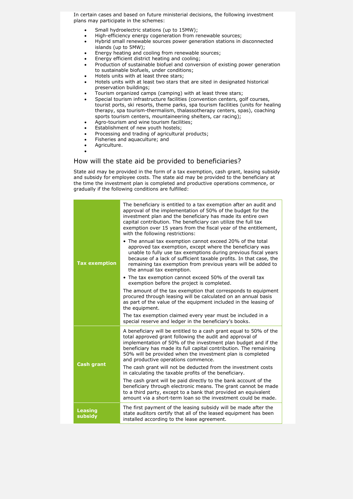In certain cases and based on future ministerial decisions, the following investment plans may participate in the schemes:

- Small hydroelectric stations (up to 15MW);
- High-efficiency energy cogeneration from renewable sources;
- Hybrid small renewable sources power generation stations in disconnected islands (up to 5MW);
- Energy heating and cooling from renewable sources;
- Energy efficient district heating and cooling;
- Production of sustainable biofuel and conversion of existing power generation to sustainable biofuels, under conditions;
- Hotels units with at least three stars;
- Hotels units with at least two stars that are sited in designated historical preservation buildings;
- Tourism organized camps (camping) with at least three stars;
- Special tourism infrastructure facilities (convention centers, golf courses, tourist ports, ski resorts, theme parks, spa tourism facilities (units for healing therapy, spa tourism-thermalism, thalassotherapy centers, spas), coaching sports tourism centers, mountaineering shelters, car racing);
- Agro-tourism and wine tourism facilities;
- Establishment of new youth hostels;
- Processing and trading of agricultural products;
- Fisheries and aquaculture; and
- Agriculture.

 $\bullet$ 

### How will the state aid be provided to beneficiaries?

State aid may be provided in the form of a tax exemption, cash grant, leasing subsidy and subsidy for employee costs. The state aid may be provided to the beneficiary at the time the investment plan is completed and productive operations commence, or gradually if the following conditions are fulfilled:

|                           | The beneficiary is entitled to a tax exemption after an audit and<br>approval of the implementation of 50% of the budget for the<br>investment plan and the beneficiary has made its entire own<br>capital contribution. The beneficiary can utilize the full tax<br>exemption over 15 years from the fiscal year of the entitlement,<br>with the following restrictions:  |
|---------------------------|----------------------------------------------------------------------------------------------------------------------------------------------------------------------------------------------------------------------------------------------------------------------------------------------------------------------------------------------------------------------------|
| <b>Tax exemption</b>      | • The annual tax exemption cannot exceed 20% of the total<br>approved tax exemption, except where the beneficiary was<br>unable to fully use tax exemptions during previous fiscal years<br>because of a lack of sufficient taxable profits. In that case, the<br>remaining tax exemption from previous years will be added to<br>the annual tax exemption.                |
|                           | • The tax exemption cannot exceed 50% of the overall tax<br>exemption before the project is completed.                                                                                                                                                                                                                                                                     |
|                           | The amount of the tax exemption that corresponds to equipment<br>procured through leasing will be calculated on an annual basis<br>as part of the value of the equipment included in the leasing of<br>the equipment.                                                                                                                                                      |
|                           | The tax exemption claimed every year must be included in a<br>special reserve and ledger in the beneficiary's books.                                                                                                                                                                                                                                                       |
|                           | A beneficiary will be entitled to a cash grant equal to 50% of the<br>total approved grant following the audit and approval of<br>implementation of 50% of the investment plan budget and if the<br>beneficiary has made its full capital contribution. The remaining<br>50% will be provided when the investment plan is completed<br>and productive operations commence. |
| <b>Cash grant</b>         | The cash grant will not be deducted from the investment costs<br>in calculating the taxable profits of the beneficiary.                                                                                                                                                                                                                                                    |
|                           | The cash grant will be paid directly to the bank account of the<br>beneficiary through electronic means. The grant cannot be made<br>to a third party, except to a bank that provided an equivalent<br>amount via a short-term loan so the investment could be made.                                                                                                       |
| <b>Leasing</b><br>subsidy | The first payment of the leasing subsidy will be made after the<br>state auditors certify that all of the leased equipment has been<br>installed according to the lease agreement.                                                                                                                                                                                         |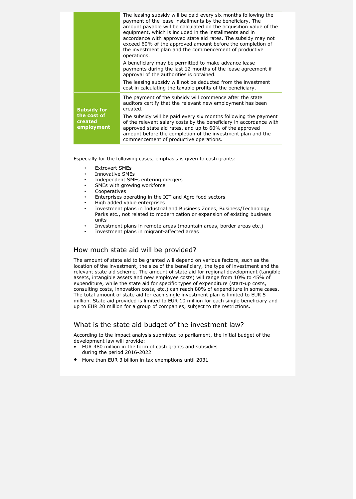|  |                                      | The leasing subsidy will be paid every six months following the<br>payment of the lease installments by the beneficiary. The<br>amount payable will be calculated on the acquisition value of the<br>equipment, which is included in the installments and in<br>accordance with approved state aid rates. The subsidy may not<br>exceed 60% of the approved amount before the completion of<br>the investment plan and the commencement of productive<br>operations. |
|--|--------------------------------------|----------------------------------------------------------------------------------------------------------------------------------------------------------------------------------------------------------------------------------------------------------------------------------------------------------------------------------------------------------------------------------------------------------------------------------------------------------------------|
|  |                                      | A beneficiary may be permitted to make advance lease<br>payments during the last 12 months of the lease agreement if<br>approval of the authorities is obtained.                                                                                                                                                                                                                                                                                                     |
|  |                                      | The leasing subsidy will not be deducted from the investment<br>cost in calculating the taxable profits of the beneficiary.                                                                                                                                                                                                                                                                                                                                          |
|  | <b>Subsidy for</b>                   | The payment of the subsidy will commence after the state<br>auditors certify that the relevant new employment has been<br>created.                                                                                                                                                                                                                                                                                                                                   |
|  | the cost of<br>created<br>employment | The subsidy will be paid every six months following the payment<br>of the relevant salary costs by the beneficiary in accordance with<br>approved state aid rates, and up to 60% of the approved<br>amount before the completion of the investment plan and the<br>commencement of productive operations.                                                                                                                                                            |
|  |                                      |                                                                                                                                                                                                                                                                                                                                                                                                                                                                      |

Especially for the following cases, emphasis is given to cash grants:

- **Extrovert SMEs**
- Innovative SMEs
- Independent SMEs entering mergers
- SMEs with growing workforce
- Cooperatives
- Enterprises operating in the ICT and Agro food sectors
- High added value enterprises
- Investment plans in Industrial and Business Zones, Business/Technology Parks etc., not related to modernization or expansion of existing business units
- Investment plans in remote areas (mountain areas, border areas etc.)
- Investment plans in migrant-affected areas

#### How much state aid will be provided?

The amount of state aid to be granted will depend on various factors, such as the location of the investment, the size of the beneficiary, the type of investment and the relevant state aid scheme. The amount of state aid for regional development (tangible assets, intangible assets and new employee costs) will range from 10% to 45% of expenditure, while the state aid for specific types of expenditure (start-up costs, consulting costs, innovation costs, etc.) can reach 80% of expenditure in some cases. The total amount of state aid for each single investment plan is limited to EUR 5 million. State aid provided is limited to EUR 10 million for each single beneficiary and up to EUR 20 million for a group of companies, subject to the restrictions.

#### What is the state aid budget of the investment law?

According to the impact analysis submitted to parliament, the initial budget of the development law will provide:

- EUR 480 million in the form of cash grants and subsidies during the period 2016-2022
- More than EUR 3 billion in tax exemptions until 2031